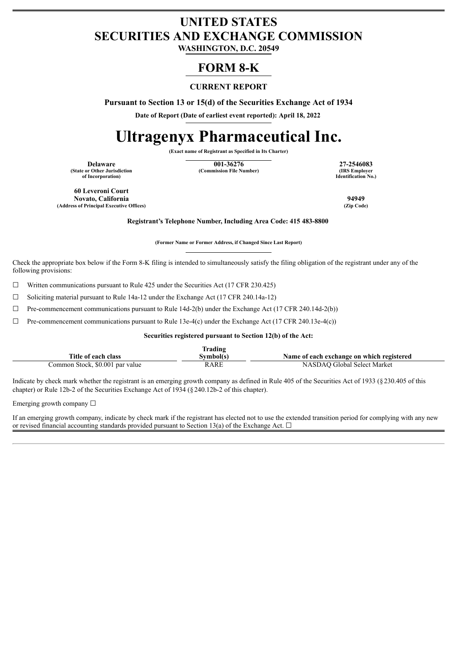## **UNITED STATES SECURITIES AND EXCHANGE COMMISSION**

**WASHINGTON, D.C. 20549**

### **FORM 8-K**

### **CURRENT REPORT**

**Pursuant to Section 13 or 15(d) of the Securities Exchange Act of 1934**

**Date of Report (Date of earliest event reported): April 18, 2022**

# **Ultragenyx Pharmaceutical Inc.**

**(Exact name of Registrant as Specified in Its Charter)**

**(State or Other Jurisdiction of Incorporation)**

**Delaware 27-2546083**<br> **101-36276 27-2546083**<br> **101-36276 27-2546083**<br> **101-36276 27-2546083 (Commission File Number)** 

**Identification No.)**

**60 Leveroni Court Novato, California 94949**  $(A$ ddress of Principal Executive Offices)

**Registrant's Telephone Number, Including Area Code: 415 483-8800**

**(Former Name or Former Address, if Changed Since Last Report)**

Check the appropriate box below if the Form 8-K filing is intended to simultaneously satisfy the filing obligation of the registrant under any of the following provisions:

 $\Box$  Written communications pursuant to Rule 425 under the Securities Act (17 CFR 230.425)

☐ Soliciting material pursuant to Rule 14a-12 under the Exchange Act (17 CFR 240.14a-12)

 $\Box$  Pre-commencement communications pursuant to Rule 14d-2(b) under the Exchange Act (17 CFR 240.14d-2(b))

 $\Box$  Pre-commencement communications pursuant to Rule 13e-4(c) under the Exchange Act (17 CFR 240.13e-4(c))

**Securities registered pursuant to Section 12(b) of the Act:**

|                                 | Trading   |                                           |
|---------------------------------|-----------|-------------------------------------------|
| Title of each class             | Svmbol(s) | Name of each exchange on which registered |
| Common Stock, \$0.001 par value | RARE      | NASDAO Global Select Market               |

Indicate by check mark whether the registrant is an emerging growth company as defined in Rule 405 of the Securities Act of 1933 (§230.405 of this chapter) or Rule 12b-2 of the Securities Exchange Act of 1934 (§240.12b-2 of this chapter).

Emerging growth company  $\Box$ 

If an emerging growth company, indicate by check mark if the registrant has elected not to use the extended transition period for complying with any new or revised financial accounting standards provided pursuant to Section 13(a) of the Exchange Act.  $\Box$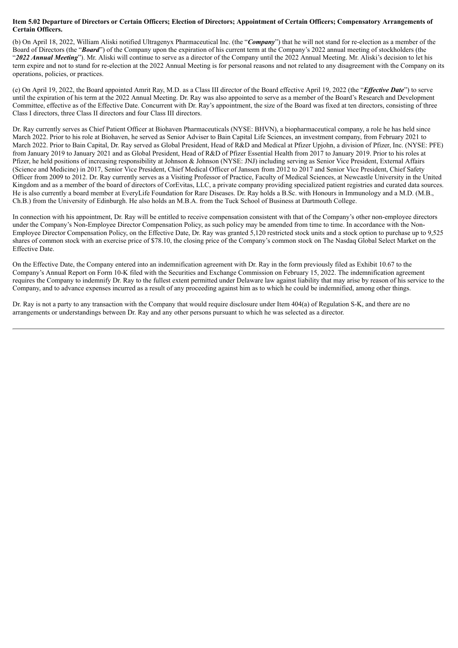#### Item 5.02 Departure of Directors or Certain Officers; Election of Directors; Appointment of Certain Officers; Compensatory Arrangements of **Certain Officers.**

(b) On April 18, 2022, William Aliski notified Ultragenyx Pharmaceutical Inc. (the "*Company*") that he will not stand for re-election as a member of the Board of Directors (the "*Board*") of the Company upon the expiration of his current term at the Company's 2022 annual meeting of stockholders (the "*2022 Annual Meeting*"). Mr. Aliski will continue to serve as a director of the Company until the 2022 Annual Meeting. Mr. Aliski's decision to let his term expire and not to stand for re-election at the 2022 Annual Meeting is for personal reasons and not related to any disagreement with the Company on its operations, policies, or practices.

(e) On April 19, 2022, the Board appointed Amrit Ray, M.D. as a Class III director of the Board effective April 19, 2022 (the "*Ef ective Date*") to serve until the expiration of his term at the 2022 Annual Meeting. Dr. Ray was also appointed to serve as a member of the Board's Research and Development Committee, effective as of the Effective Date. Concurrent with Dr. Ray's appointment, the size of the Board was fixed at ten directors, consisting of three Class I directors, three Class II directors and four Class III directors.

Dr. Ray currently serves as Chief Patient Officer at Biohaven Pharmaceuticals (NYSE: BHVN), a biopharmaceutical company, a role he has held since March 2022. Prior to his role at Biohaven, he served as Senior Adviser to Bain Capital Life Sciences, an investment company, from February 2021 to March 2022. Prior to Bain Capital, Dr. Ray served as Global President, Head of R&D and Medical at Pfizer Upjohn, a division of Pfizer, Inc. (NYSE: PFE) from January 2019 to January 2021 and as Global President, Head of R&D of Pfizer Essential Health from 2017 to January 2019. Prior to his roles at Pfizer, he held positions of increasing responsibility at Johnson & Johnson (NYSE: JNJ) including serving as Senior Vice President, External Affairs (Science and Medicine) in 2017, Senior Vice President, Chief Medical Officer of Janssen from 2012 to 2017 and Senior Vice President, Chief Safety Officer from 2009 to 2012. Dr. Ray currently serves as a Visiting Professor of Practice, Faculty of Medical Sciences, at Newcastle University in the United Kingdom and as a member of the board of directors of CorEvitas, LLC, a private company providing specialized patient registries and curated data sources. He is also currently a board member at EveryLife Foundation for Rare Diseases. Dr. Ray holds a B.Sc. with Honours in Immunology and a M.D. (M.B., Ch.B.) from the University of Edinburgh. He also holds an M.B.A. from the Tuck School of Business at Dartmouth College.

In connection with his appointment, Dr. Ray will be entitled to receive compensation consistent with that of the Company's other non-employee directors under the Company's Non-Employee Director Compensation Policy, as such policy may be amended from time to time. In accordance with the Non-Employee Director Compensation Policy, on the Effective Date, Dr. Ray was granted 5,120 restricted stock units and a stock option to purchase up to 9,525 shares of common stock with an exercise price of \$78.10, the closing price of the Company's common stock on The Nasdaq Global Select Market on the Effective Date.

On the Effective Date, the Company entered into an indemnification agreement with Dr. Ray in the form previously filed as Exhibit 10.67 to the Company's Annual Report on Form 10-K filed with the Securities and Exchange Commission on February 15, 2022. The indemnification agreement requires the Company to indemnify Dr. Ray to the fullest extent permitted under Delaware law against liability that may arise by reason of his service to the Company, and to advance expenses incurred as a result of any proceeding against him as to which he could be indemnified, among other things.

Dr. Ray is not a party to any transaction with the Company that would require disclosure under Item 404(a) of Regulation S-K, and there are no arrangements or understandings between Dr. Ray and any other persons pursuant to which he was selected as a director.